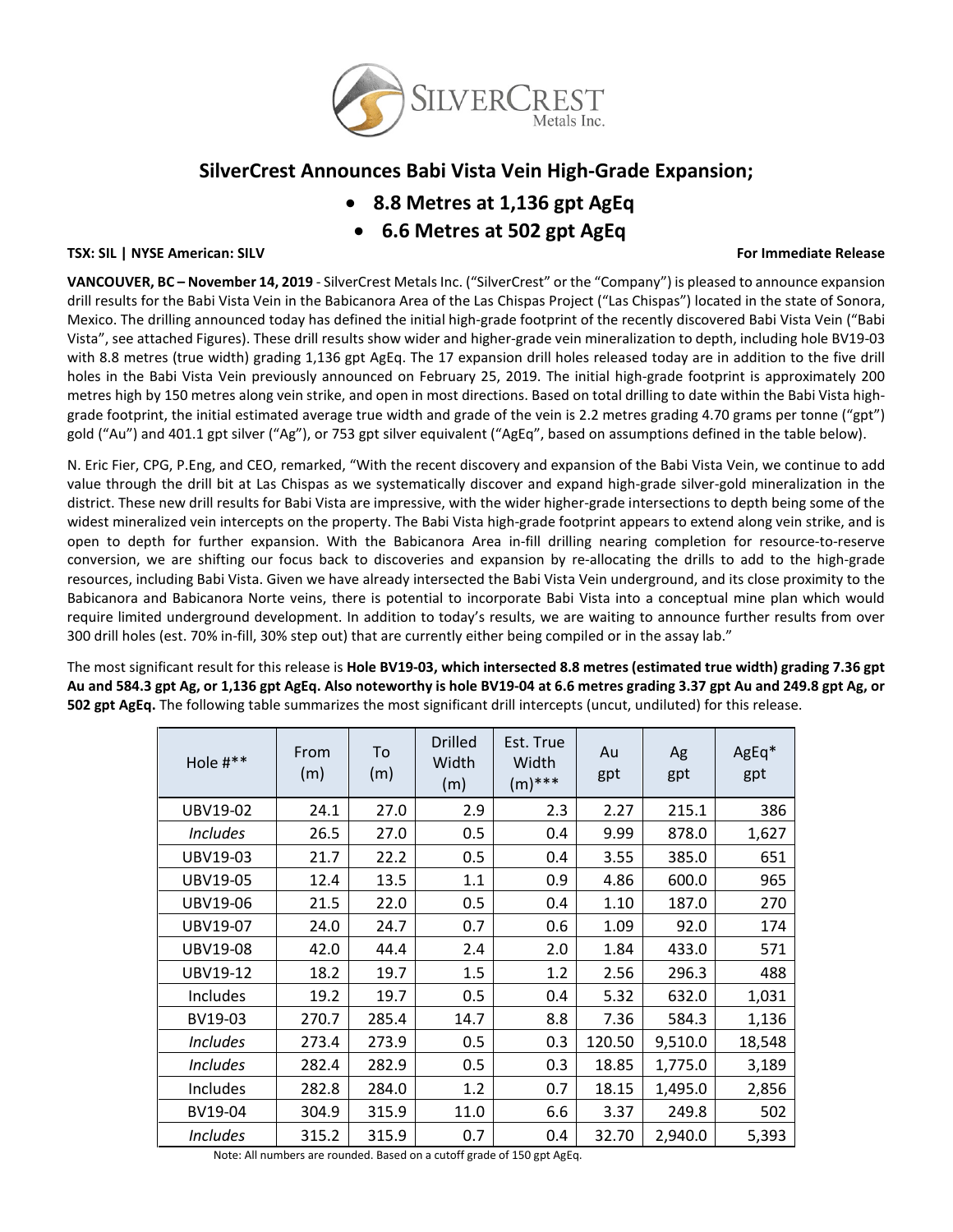

# **SilverCrest Announces Babi Vista Vein High-Grade Expansion;**

- **8.8 Metres at 1,136 gpt AgEq**
- **6.6 Metres at 502 gpt AgEq**

## **TSX: SIL | NYSE American: SILV For Immediate Release**

**VANCOUVER, BC – November 14, 2019** - SilverCrest Metals Inc. ("SilverCrest" or the "Company") is pleased to announce expansion drill results for the Babi Vista Vein in the Babicanora Area of the Las Chispas Project ("Las Chispas") located in the state of Sonora, Mexico. The drilling announced today has defined the initial high-grade footprint of the recently discovered Babi Vista Vein ("Babi Vista", see attached Figures). These drill results show wider and higher-grade vein mineralization to depth, including hole BV19-03 with 8.8 metres (true width) grading 1,136 gpt AgEq. The 17 expansion drill holes released today are in addition to the five drill holes in the Babi Vista Vein previously announced on February 25, 2019. The initial high-grade footprint is approximately 200 metres high by 150 metres along vein strike, and open in most directions. Based on total drilling to date within the Babi Vista highgrade footprint, the initial estimated average true width and grade of the vein is 2.2 metres grading 4.70 grams per tonne ("gpt") gold ("Au") and 401.1 gpt silver ("Ag"), or 753 gpt silver equivalent ("AgEq", based on assumptions defined in the table below).

N. Eric Fier, CPG, P.Eng, and CEO, remarked, "With the recent discovery and expansion of the Babi Vista Vein, we continue to add value through the drill bit at Las Chispas as we systematically discover and expand high-grade silver-gold mineralization in the district. These new drill results for Babi Vista are impressive, with the wider higher-grade intersections to depth being some of the widest mineralized vein intercepts on the property. The Babi Vista high-grade footprint appears to extend along vein strike, and is open to depth for further expansion. With the Babicanora Area in-fill drilling nearing completion for resource-to-reserve conversion, we are shifting our focus back to discoveries and expansion by re-allocating the drills to add to the high-grade resources, including Babi Vista. Given we have already intersected the Babi Vista Vein underground, and its close proximity to the Babicanora and Babicanora Norte veins, there is potential to incorporate Babi Vista into a conceptual mine plan which would require limited underground development. In addition to today's results, we are waiting to announce further results from over 300 drill holes (est. 70% in-fill, 30% step out) that are currently either being compiled or in the assay lab."

The most significant result for this release is **Hole BV19-03, which intersected 8.8 metres (estimated true width) grading 7.36 gpt Au and 584.3 gpt Ag, or 1,136 gpt AgEq. Also noteworthy is hole BV19-04 at 6.6 metres grading 3.37 gpt Au and 249.8 gpt Ag, or 502 gpt AgEq.** The following table summarizes the most significant drill intercepts (uncut, undiluted) for this release.

| Hole #**        | From<br>(m) | To<br>(m) | <b>Drilled</b><br>Width<br>(m) | Est. True<br>Width<br>$(m)$ *** | Au<br>gpt | Ag<br>gpt | AgEq*<br>gpt |
|-----------------|-------------|-----------|--------------------------------|---------------------------------|-----------|-----------|--------------|
| UBV19-02        | 24.1        | 27.0      | 2.9                            | 2.3                             | 2.27      | 215.1     | 386          |
| <b>Includes</b> | 26.5        | 27.0      | 0.5                            | 0.4                             | 9.99      | 878.0     | 1,627        |
| UBV19-03        | 21.7        | 22.2      | 0.5                            | 0.4                             | 3.55      | 385.0     | 651          |
| UBV19-05        | 12.4        | 13.5      | 1.1                            | 0.9                             | 4.86      | 600.0     | 965          |
| UBV19-06        | 21.5        | 22.0      | 0.5                            | 0.4                             | 1.10      | 187.0     | 270          |
| UBV19-07        | 24.0        | 24.7      | 0.7                            | 0.6                             | 1.09      | 92.0      | 174          |
| UBV19-08        | 42.0        | 44.4      | 2.4                            | 2.0                             | 1.84      | 433.0     | 571          |
| UBV19-12        | 18.2        | 19.7      | 1.5                            | 1.2                             | 2.56      | 296.3     | 488          |
| Includes        | 19.2        | 19.7      | 0.5                            | 0.4                             | 5.32      | 632.0     | 1,031        |
| BV19-03         | 270.7       | 285.4     | 14.7                           | 8.8                             | 7.36      | 584.3     | 1,136        |
| <b>Includes</b> | 273.4       | 273.9     | 0.5                            | 0.3                             | 120.50    | 9,510.0   | 18,548       |
| <b>Includes</b> | 282.4       | 282.9     | 0.5                            | 0.3                             | 18.85     | 1,775.0   | 3,189        |
| Includes        | 282.8       | 284.0     | 1.2                            | 0.7                             | 18.15     | 1,495.0   | 2,856        |
| BV19-04         | 304.9       | 315.9     | 11.0                           | 6.6                             | 3.37      | 249.8     | 502          |
| <b>Includes</b> | 315.2       | 315.9     | 0.7                            | 0.4                             | 32.70     | 2,940.0   | 5,393        |

Note: All numbers are rounded. Based on a cutoff grade of 150 gpt AgEq.